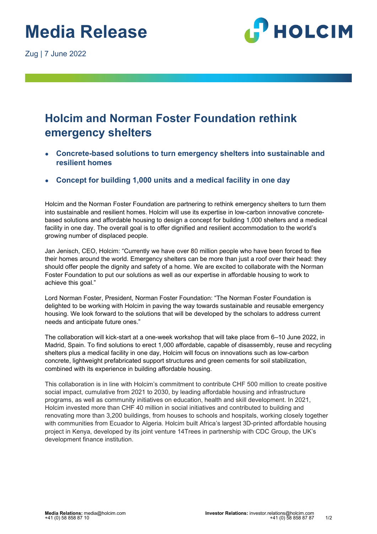Zug | 7 June 2022



## **Holcim and Norman Foster Foundation rethink emergency shelters**

- **Concrete-based solutions to turn emergency shelters into sustainable and resilient homes**
- **Concept for building 1,000 units and a medical facility in one day**

Holcim and the Norman Foster Foundation are partnering to rethink emergency shelters to turn them into sustainable and resilient homes. Holcim will use its expertise in low-carbon innovative concretebased solutions and affordable housing to design a concept for building 1,000 shelters and a medical facility in one day. The overall goal is to offer dignified and resilient accommodation to the world's growing number of displaced people.

Jan Jenisch, CEO, Holcim: "Currently we have over 80 million people who have been forced to flee their homes around the world. Emergency shelters can be more than just a roof over their head: they should offer people the dignity and safety of a home. We are excited to collaborate with the Norman Foster Foundation to put our solutions as well as our expertise in affordable housing to work to achieve this goal."

Lord Norman Foster, President, Norman Foster Foundation: "The Norman Foster Foundation is delighted to be working with Holcim in paving the way towards sustainable and reusable emergency housing. We look forward to the solutions that will be developed by the scholars to address current needs and anticipate future ones."

The collaboration will kick-start at a one-week workshop that will take place from 6–10 June 2022, in Madrid, Spain. To find solutions to erect 1,000 affordable, capable of disassembly, reuse and recycling shelters plus a medical facility in one day, Holcim will focus on innovations such as low-carbon concrete, lightweight prefabricated support structures and green cements for soil stabilization, combined with its experience in building affordable housing.

This collaboration is in line with Holcim's commitment to contribute CHF 500 million to create positive social impact, cumulative from 2021 to 2030, by leading affordable housing and infrastructure programs, as well as community initiatives on education, health and skill development. In 2021, Holcim invested more than CHF 40 million in social initiatives and contributed to building and renovating more than 3,200 buildings, from houses to schools and hospitals, working closely together with communities from Ecuador to Algeria. Holcim built Africa's largest 3D-printed affordable housing project in Kenya, developed by its joint venture 14Trees in partnership with CDC Group, the UK's development finance institution.